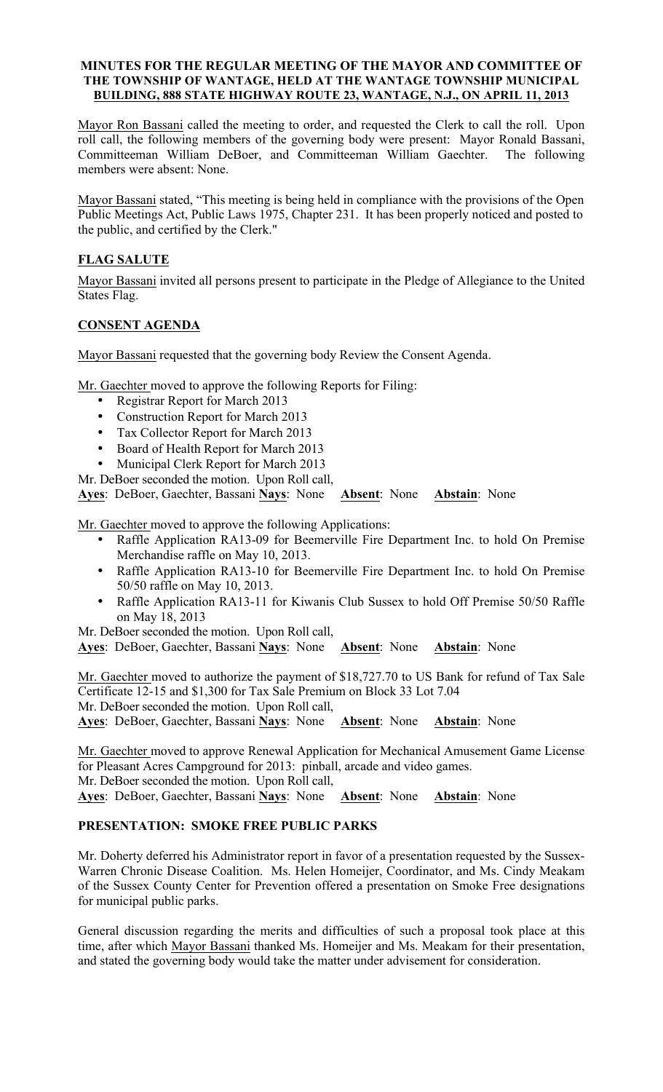### MINUTES FOR THE REGULAR MEETING OF THE MAYOR AND COMMITTEE OF THE TOWNSHIP OF WANTAGE, HELD AT THE WANTAGE TOWNSHIP MUNICIPAL BUILDING, 888 STATE HIGHWAY ROUTE 23, WANTAGE, N.J., ON APRIL 11, 2013

Mayor Ron Bassani called the meeting to order, and requested the Clerk to call the roll. Upon roll call, the following members of the governing body were present: Mayor Ronald Bassani, Committeeman William DeBoer, and Committeeman William Gaechter. The following members were absent: None.

Mayor Bassani stated, "This meeting is being held in compliance with the provisions of the Open Public Meetings Act, Public Laws 1975, Chapter 231. It has been properly noticed and posted to the public, and certified by the Clerk."

## FLAG SALUTE

Mayor Bassani invited all persons present to participate in the Pledge of Allegiance to the United States Flag.

## CONSENT AGENDA

Mayor Bassani requested that the governing body Review the Consent Agenda.

Mr. Gaechter moved to approve the following Reports for Filing:

- Registrar Report for March 2013
- Construction Report for March 2013
- Tax Collector Report for March 2013
- Board of Health Report for March 2013
- Municipal Clerk Report for March 2013

Mr. DeBoer seconded the motion. Upon Roll call,

Ayes: DeBoer, Gaechter, Bassani Nays: None Absent: None Abstain: None

Mr. Gaechter moved to approve the following Applications:

- Raffle Application RA13-09 for Beemerville Fire Department Inc. to hold On Premise Merchandise raffle on May 10, 2013.
- Raffle Application RA13-10 for Beemerville Fire Department Inc. to hold On Premise 50/50 raffle on May 10, 2013.
- Raffle Application RA13-11 for Kiwanis Club Sussex to hold Off Premise 50/50 Raffle on May 18, 2013

Mr. DeBoer seconded the motion. Upon Roll call,

Ayes: DeBoer, Gaechter, Bassani Nays: None Absent: None Abstain: None

Mr. Gaechter moved to authorize the payment of \$18,727.70 to US Bank for refund of Tax Sale Certificate 12-15 and \$1,300 for Tax Sale Premium on Block 33 Lot 7.04 Mr. DeBoer seconded the motion. Upon Roll call,

Ayes: DeBoer, Gaechter, Bassani Nays: None Absent: None Abstain: None

Mr. Gaechter moved to approve Renewal Application for Mechanical Amusement Game License for Pleasant Acres Campground for 2013: pinball, arcade and video games. Mr. DeBoer seconded the motion. Upon Roll call, Ayes: DeBoer, Gaechter, Bassani Nays: None Absent: None Abstain: None

## PRESENTATION: SMOKE FREE PUBLIC PARKS

Mr. Doherty deferred his Administrator report in favor of a presentation requested by the Sussex-Warren Chronic Disease Coalition. Ms. Helen Homeijer, Coordinator, and Ms. Cindy Meakam of the Sussex County Center for Prevention offered a presentation on Smoke Free designations for municipal public parks.

General discussion regarding the merits and difficulties of such a proposal took place at this time, after which Mayor Bassani thanked Ms. Homeijer and Ms. Meakam for their presentation, and stated the governing body would take the matter under advisement for consideration.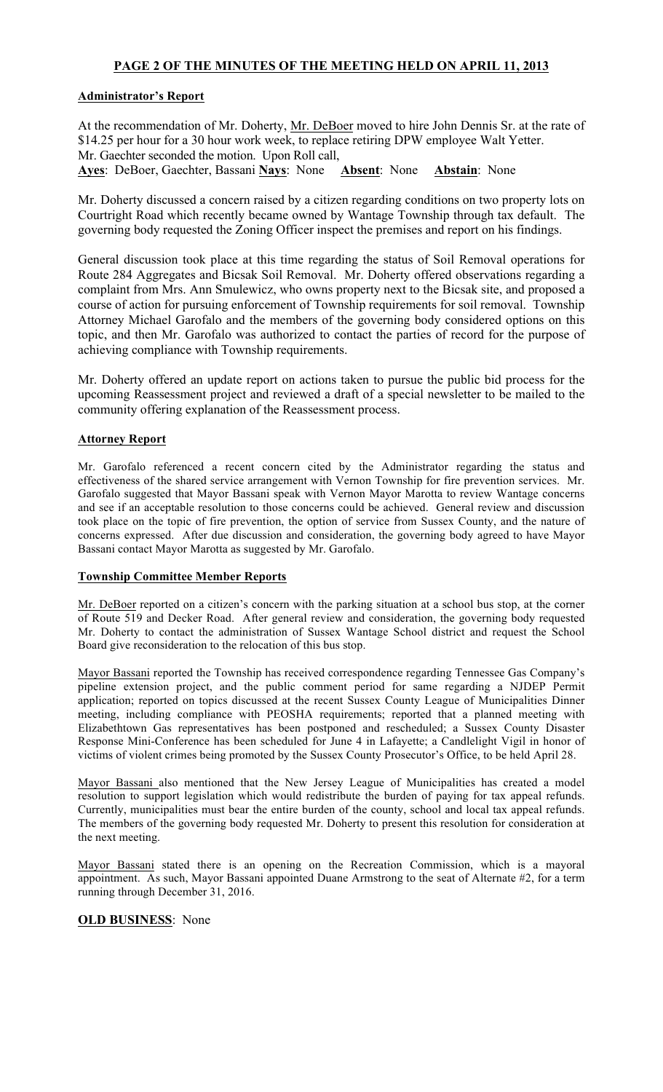# PAGE 2 OF THE MINUTES OF THE MEETING HELD ON APRIL 11, 2013

## Administrator's Report

At the recommendation of Mr. Doherty, Mr. DeBoer moved to hire John Dennis Sr. at the rate of \$14.25 per hour for a 30 hour work week, to replace retiring DPW employee Walt Yetter. Mr. Gaechter seconded the motion. Upon Roll call, Ayes: DeBoer, Gaechter, Bassani Nays: None Absent: None Abstain: None

Mr. Doherty discussed a concern raised by a citizen regarding conditions on two property lots on Courtright Road which recently became owned by Wantage Township through tax default. The governing body requested the Zoning Officer inspect the premises and report on his findings.

General discussion took place at this time regarding the status of Soil Removal operations for Route 284 Aggregates and Bicsak Soil Removal. Mr. Doherty offered observations regarding a complaint from Mrs. Ann Smulewicz, who owns property next to the Bicsak site, and proposed a course of action for pursuing enforcement of Township requirements for soil removal. Township Attorney Michael Garofalo and the members of the governing body considered options on this topic, and then Mr. Garofalo was authorized to contact the parties of record for the purpose of achieving compliance with Township requirements.

Mr. Doherty offered an update report on actions taken to pursue the public bid process for the upcoming Reassessment project and reviewed a draft of a special newsletter to be mailed to the community offering explanation of the Reassessment process.

## Attorney Report

Mr. Garofalo referenced a recent concern cited by the Administrator regarding the status and effectiveness of the shared service arrangement with Vernon Township for fire prevention services. Mr. Garofalo suggested that Mayor Bassani speak with Vernon Mayor Marotta to review Wantage concerns and see if an acceptable resolution to those concerns could be achieved. General review and discussion took place on the topic of fire prevention, the option of service from Sussex County, and the nature of concerns expressed. After due discussion and consideration, the governing body agreed to have Mayor Bassani contact Mayor Marotta as suggested by Mr. Garofalo.

#### Township Committee Member Reports

Mr. DeBoer reported on a citizen's concern with the parking situation at a school bus stop, at the corner of Route 519 and Decker Road. After general review and consideration, the governing body requested Mr. Doherty to contact the administration of Sussex Wantage School district and request the School Board give reconsideration to the relocation of this bus stop.

Mayor Bassani reported the Township has received correspondence regarding Tennessee Gas Company's pipeline extension project, and the public comment period for same regarding a NJDEP Permit application; reported on topics discussed at the recent Sussex County League of Municipalities Dinner meeting, including compliance with PEOSHA requirements; reported that a planned meeting with Elizabethtown Gas representatives has been postponed and rescheduled; a Sussex County Disaster Response Mini-Conference has been scheduled for June 4 in Lafayette; a Candlelight Vigil in honor of victims of violent crimes being promoted by the Sussex County Prosecutor's Office, to be held April 28.

Mayor Bassani also mentioned that the New Jersey League of Municipalities has created a model resolution to support legislation which would redistribute the burden of paying for tax appeal refunds. Currently, municipalities must bear the entire burden of the county, school and local tax appeal refunds. The members of the governing body requested Mr. Doherty to present this resolution for consideration at the next meeting.

Mayor Bassani stated there is an opening on the Recreation Commission, which is a mayoral appointment. As such, Mayor Bassani appointed Duane Armstrong to the seat of Alternate #2, for a term running through December 31, 2016.

## **OLD BUSINESS:** None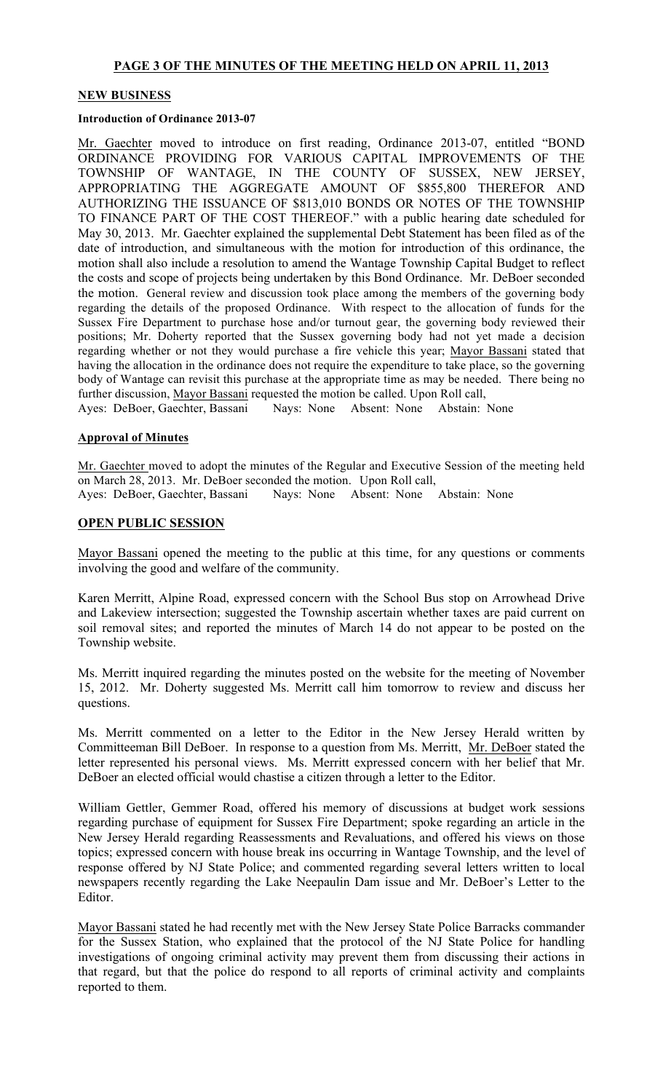# PAGE 3 OF THE MINUTES OF THE MEETING HELD ON APRIL 11, 2013

### NEW BUSINESS

#### Introduction of Ordinance 2013-07

Mr. Gaechter moved to introduce on first reading, Ordinance 2013-07, entitled "BOND ORDINANCE PROVIDING FOR VARIOUS CAPITAL IMPROVEMENTS OF THE TOWNSHIP OF WANTAGE, IN THE COUNTY OF SUSSEX, NEW JERSEY, APPROPRIATING THE AGGREGATE AMOUNT OF \$855,800 THEREFOR AND AUTHORIZING THE ISSUANCE OF \$813,010 BONDS OR NOTES OF THE TOWNSHIP TO FINANCE PART OF THE COST THEREOF." with a public hearing date scheduled for May 30, 2013. Mr. Gaechter explained the supplemental Debt Statement has been filed as of the date of introduction, and simultaneous with the motion for introduction of this ordinance, the motion shall also include a resolution to amend the Wantage Township Capital Budget to reflect the costs and scope of projects being undertaken by this Bond Ordinance. Mr. DeBoer seconded the motion. General review and discussion took place among the members of the governing body regarding the details of the proposed Ordinance. With respect to the allocation of funds for the Sussex Fire Department to purchase hose and/or turnout gear, the governing body reviewed their positions; Mr. Doherty reported that the Sussex governing body had not yet made a decision regarding whether or not they would purchase a fire vehicle this year; Mayor Bassani stated that having the allocation in the ordinance does not require the expenditure to take place, so the governing body of Wantage can revisit this purchase at the appropriate time as may be needed. There being no further discussion, Mayor Bassani requested the motion be called. Upon Roll call,

Ayes: DeBoer, Gaechter, Bassani Nays: None Absent: None Abstain: None

#### Approval of Minutes

Mr. Gaechter moved to adopt the minutes of the Regular and Executive Session of the meeting held on March 28, 2013. Mr. DeBoer seconded the motion. Upon Roll call, Ayes: DeBoer, Gaechter, Bassani Nays: None Absent: None Abstain: None

### OPEN PUBLIC SESSION

Mayor Bassani opened the meeting to the public at this time, for any questions or comments involving the good and welfare of the community.

Karen Merritt, Alpine Road, expressed concern with the School Bus stop on Arrowhead Drive and Lakeview intersection; suggested the Township ascertain whether taxes are paid current on soil removal sites; and reported the minutes of March 14 do not appear to be posted on the Township website.

Ms. Merritt inquired regarding the minutes posted on the website for the meeting of November 15, 2012. Mr. Doherty suggested Ms. Merritt call him tomorrow to review and discuss her questions.

Ms. Merritt commented on a letter to the Editor in the New Jersey Herald written by Committeeman Bill DeBoer. In response to a question from Ms. Merritt, Mr. DeBoer stated the letter represented his personal views. Ms. Merritt expressed concern with her belief that Mr. DeBoer an elected official would chastise a citizen through a letter to the Editor.

William Gettler, Gemmer Road, offered his memory of discussions at budget work sessions regarding purchase of equipment for Sussex Fire Department; spoke regarding an article in the New Jersey Herald regarding Reassessments and Revaluations, and offered his views on those topics; expressed concern with house break ins occurring in Wantage Township, and the level of response offered by NJ State Police; and commented regarding several letters written to local newspapers recently regarding the Lake Neepaulin Dam issue and Mr. DeBoer's Letter to the **Editor** 

Mayor Bassani stated he had recently met with the New Jersey State Police Barracks commander for the Sussex Station, who explained that the protocol of the NJ State Police for handling investigations of ongoing criminal activity may prevent them from discussing their actions in that regard, but that the police do respond to all reports of criminal activity and complaints reported to them.